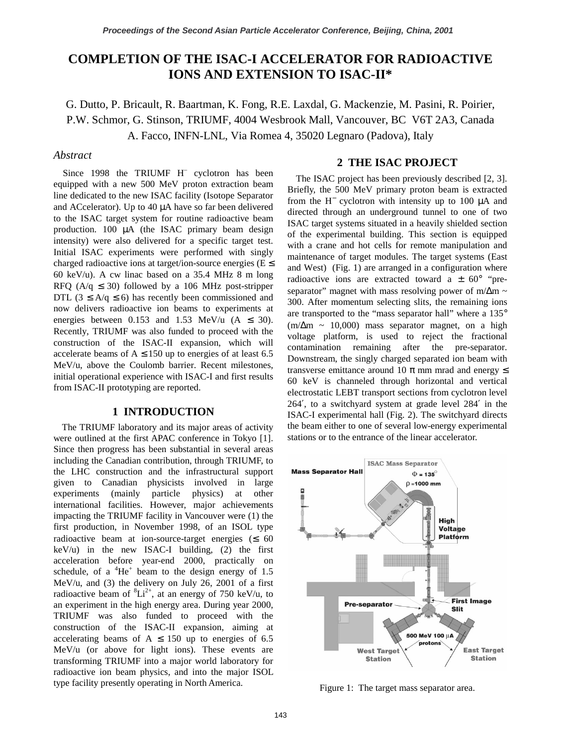# **COMPLETION OF THE ISAC-I ACCELERATOR FOR RADIOACTIVE IONS AND EXTENSION TO ISAC-II\***

G. Dutto, P. Bricault, R. Baartman, K. Fong, R.E. Laxdal, G. Mackenzie, M. Pasini, R. Poirier, P.W. Schmor, G. Stinson, TRIUMF, 4004 Wesbrook Mall, Vancouver, BC V6T 2A3, Canada A. Facco, INFN-LNL, Via Romea 4, 35020 Legnaro (Padova), Italy

## *Abstract*

Since 1998 the TRIUMF H<sup>–</sup> cyclotron has been equipped with a new 500 MeV proton extraction beam line dedicated to the new ISAC facility (Isotope Separator and ACcelerator). Up to 40 µA have so far been delivered to the ISAC target system for routine radioactive beam production. 100 µA (the ISAC primary beam design intensity) were also delivered for a specific target test. Initial ISAC experiments were performed with singly charged radioactive ions at target/ion-source energies ( $E \le$ 60 keV/u). A cw linac based on a 35.4 MHz 8 m long RFQ ( $A/q \leq 30$ ) followed by a 106 MHz post-stripper DTL ( $3 \leq A/q \leq 6$ ) has recently been commissioned and now delivers radioactive ion beams to experiments at energies between 0.153 and 1.53 MeV/u  $(A \le 30)$ . Recently, TRIUMF was also funded to proceed with the construction of the ISAC-II expansion, which will accelerate beams of  $A \le 150$  up to energies of at least 6.5 MeV/u, above the Coulomb barrier. Recent milestones, initial operational experience with ISAC-I and first results from ISAC-II prototyping are reported.

## **1 INTRODUCTION**

The TRIUMF laboratory and its major areas of activity were outlined at the first APAC conference in Tokyo [1]. Since then progress has been substantial in several areas including the Canadian contribution, through TRIUMF, to the LHC construction and the infrastructural support given to Canadian physicists involved in large experiments (mainly particle physics) at other international facilities. However, major achievements impacting the TRIUMF facility in Vancouver were (1) the first production, in November 1998, of an ISOL type radioactive beam at ion-source-target energies ( $\leq 60$  $keV/u$ ) in the new ISAC-I building, (2) the first acceleration before year-end 2000, practically on schedule, of a  ${}^{4}$ He<sup>+</sup> beam to the design energy of 1.5 MeV/u, and (3) the delivery on July 26, 2001 of a first radioactive beam of  ${}^{8}Li^{2+}$ , at an energy of 750 keV/u, to an experiment in the high energy area. During year 2000, TRIUMF was also funded to proceed with the construction of the ISAC-II expansion, aiming at accelerating beams of  $A \le 150$  up to energies of 6.5 MeV/u (or above for light ions). These events are transforming TRIUMF into a major world laboratory for radioactive ion beam physics, and into the major ISOL type facility presently operating in North America.

### **2 THE ISAC PROJECT**

The ISAC project has been previously described [2, 3]. Briefly, the 500 MeV primary proton beam is extracted from the H<sup>−</sup> cyclotron with intensity up to 100 µA and directed through an underground tunnel to one of two ISAC target systems situated in a heavily shielded section of the experimental building. This section is equipped with a crane and hot cells for remote manipulation and maintenance of target modules. The target systems (East and West) (Fig. 1) are arranged in a configuration where radioactive ions are extracted toward a  $\pm$  60° "preseparator" magnet with mass resolving power of m/ $\Delta$ m ~ 300. After momentum selecting slits, the remaining ions are transported to the "mass separator hall" where a 135°  $(m/\Delta m \sim 10,000)$  mass separator magnet, on a high voltage platform, is used to reject the fractional contamination remaining after the pre-separator. Downstream, the singly charged separated ion beam with transverse emittance around 10  $\pi$  mm mrad and energy  $\leq$ 60 keV is channeled through horizontal and vertical electrostatic LEBT transport sections from cyclotron level 264′, to a switchyard system at grade level 284′ in the ISAC-I experimental hall (Fig. 2). The switchyard directs the beam either to one of several low-energy experimental stations or to the entrance of the linear accelerator.



Figure 1: The target mass separator area.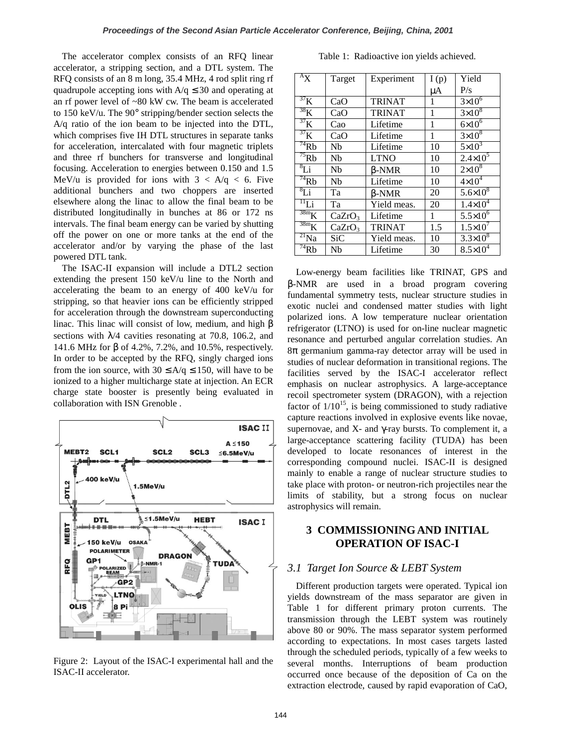The accelerator complex consists of an RFQ linear accelerator, a stripping section, and a DTL system. The RFQ consists of an 8 m long, 35.4 MHz, 4 rod split ring rf quadrupole accepting ions with  $A/q \leq 30$  and operating at an rf power level of ~80 kW cw. The beam is accelerated to 150 keV/u. The 90° stripping/bender section selects the A/q ratio of the ion beam to be injected into the DTL, which comprises five IH DTL structures in separate tanks for acceleration, intercalated with four magnetic triplets and three rf bunchers for transverse and longitudinal focusing. Acceleration to energies between 0.150 and 1.5 MeV/u is provided for ions with  $3 < A/q < 6$ . Five additional bunchers and two choppers are inserted elsewhere along the linac to allow the final beam to be distributed longitudinally in bunches at 86 or 172 ns intervals. The final beam energy can be varied by shutting off the power on one or more tanks at the end of the accelerator and/or by varying the phase of the last powered DTL tank.

The ISAC-II expansion will include a DTL2 section extending the present 150 keV/u line to the North and accelerating the beam to an energy of 400 keV/u for stripping, so that heavier ions can be efficiently stripped for acceleration through the downstream superconducting linac. This linac will consist of low, medium, and high  $β$ sections with  $\lambda$ /4 cavities resonating at 70.8, 106.2, and 141.6 MHz for β of 4.2%, 7.2%, and 10.5%, respectively. In order to be accepted by the RFQ, singly charged ions from the ion source, with  $30 \le A/q \le 150$ , will have to be ionized to a higher multicharge state at injection. An ECR charge state booster is presently being evaluated in collaboration with ISN Grenoble .



Figure 2: Layout of the ISAC-I experimental hall and the ISAC-II accelerator.

|  |  | Table 1: Radioactive ion yields achieved. |
|--|--|-------------------------------------------|
|  |  |                                           |

| $A_X$                           | Target             | Experiment    | I(p) | Yield               |
|---------------------------------|--------------------|---------------|------|---------------------|
|                                 |                    |               | μA   | P/s                 |
| $\overline{37}K$                | CaO                | <b>TRINAT</b> | 1    | $3\times10^6$       |
| $38\text{K}$                    | CaO                | <b>TRINAT</b> | 1    | $3\times10^8$       |
| 37 <sub>K</sub>                 | Cao                | Lifetime      | 1    | $6\times10^6$       |
| 37 <sub>K</sub>                 | CaO                | Lifetime      | 1    | $3\times10^8$       |
| $\overline{^{74}}$ Rb           | Nb                 | Lifetime      | 10   | $5\times10^3$       |
| $\overline{^{75}}$ Rb           | Nb                 | <b>LTNO</b>   | 10   | $2.4 \times 10^5$   |
| $\overline{8}$ Li               | Nb                 | $\beta$ -NMR  | 10   | $2\times10^8$       |
| $^{74}$ Rb                      | Nb                 | Lifetime      | 10   | $4\times10^4$       |
| $^{8}Li$                        | Ta                 | β-NMR         | 20   | $5.6 \times 10^8$   |
| $\overline{1}$ <sup>11</sup> Li | Ta                 | Yield meas.   | 20   | $1.4 \times 10^{4}$ |
| $\overline{38m}K$               | CaZrO <sub>3</sub> | Lifetime      | 1    | $5.5 \times 10^{6}$ |
| $\overline{38m}K$               | CaZrO <sub>3</sub> | <b>TRINAT</b> | 1.5  | $1.5 \times 10^{7}$ |
| $\overline{^{21}}$ Na           | SiC                | Yield meas.   | 10   | $3.3\times10^{8}$   |
| $\overline{74}Rb$               | Nb                 | Lifetime      | 30   | $8.5 \times 10^{4}$ |

Low-energy beam facilities like TRINAT, GPS and β-NMR are used in a broad program covering fundamental symmetry tests, nuclear structure studies in exotic nuclei and condensed matter studies with light polarized ions. A low temperature nuclear orientation refrigerator (LTNO) is used for on-line nuclear magnetic resonance and perturbed angular correlation studies. An 8π germanium gamma-ray detector array will be used in studies of nuclear deformation in transitional regions. The facilities served by the ISAC-I accelerator reflect emphasis on nuclear astrophysics. A large-acceptance recoil spectrometer system (DRAGON), with a rejection factor of  $1/10^{15}$ , is being commissioned to study radiative capture reactions involved in explosive events like novae, supernovae, and X- and  $\gamma$ -ray bursts. To complement it, a large-acceptance scattering facility (TUDA) has been developed to locate resonances of interest in the corresponding compound nuclei. ISAC-II is designed mainly to enable a range of nuclear structure studies to take place with proton- or neutron-rich projectiles near the limits of stability, but a strong focus on nuclear astrophysics will remain.

# **3 COMMISSIONING AND INITIAL OPERATION OF ISAC-I**

#### *3.1 Target Ion Source & LEBT System*

Different production targets were operated. Typical ion yields downstream of the mass separator are given in Table 1 for different primary proton currents. The transmission through the LEBT system was routinely above 80 or 90%. The mass separator system performed according to expectations. In most cases targets lasted through the scheduled periods, typically of a few weeks to several months. Interruptions of beam production occurred once because of the deposition of Ca on the extraction electrode, caused by rapid evaporation of CaO,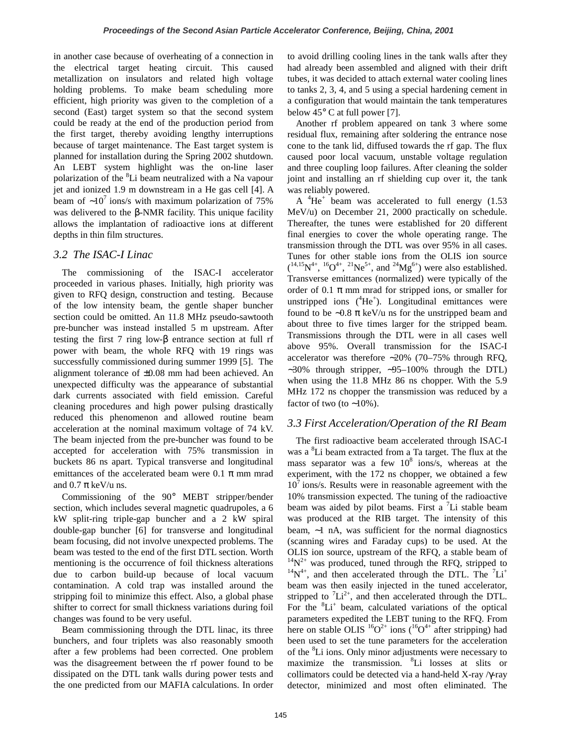in another case because of overheating of a connection in the electrical target heating circuit. This caused metallization on insulators and related high voltage holding problems. To make beam scheduling more efficient, high priority was given to the completion of a second (East) target system so that the second system could be ready at the end of the production period from the first target, thereby avoiding lengthy interruptions because of target maintenance. The East target system is planned for installation during the Spring 2002 shutdown. An LEBT system highlight was the on-line laser polarization of the <sup>8</sup>Li beam neutralized with a Na vapour jet and ionized 1.9 m downstream in a He gas cell [4]. A beam of  $~10^7$  ions/s with maximum polarization of 75% was delivered to the β-NMR facility. This unique facility allows the implantation of radioactive ions at different depths in thin film structures.

# *3.2 The ISAC-I Linac*

The commissioning of the ISAC-I accelerator proceeded in various phases. Initially, high priority was given to RFQ design, construction and testing. Because of the low intensity beam, the gentle shaper buncher section could be omitted. An 11.8 MHz pseudo-sawtooth pre-buncher was instead installed 5 m upstream. After testing the first 7 ring low-β entrance section at full rf power with beam, the whole RFQ with 19 rings was successfully commissioned during summer 1999 [5]. The alignment tolerance of ±0.08 mm had been achieved. An unexpected difficulty was the appearance of substantial dark currents associated with field emission. Careful cleaning procedures and high power pulsing drastically reduced this phenomenon and allowed routine beam acceleration at the nominal maximum voltage of 74 kV. The beam injected from the pre-buncher was found to be accepted for acceleration with 75% transmission in buckets 86 ns apart. Typical transverse and longitudinal emittances of the accelerated beam were 0.1  $\pi$  mm mrad and  $0.7 \pi$  keV/u ns.

Commissioning of the 90° MEBT stripper/bender section, which includes several magnetic quadrupoles, a 6 kW split-ring triple-gap buncher and a 2 kW spiral double-gap buncher [6] for transverse and longitudinal beam focusing, did not involve unexpected problems. The beam was tested to the end of the first DTL section. Worth mentioning is the occurrence of foil thickness alterations due to carbon build-up because of local vacuum contamination. A cold trap was installed around the stripping foil to minimize this effect. Also, a global phase shifter to correct for small thickness variations during foil changes was found to be very useful.

Beam commissioning through the DTL linac, its three bunchers, and four triplets was also reasonably smooth after a few problems had been corrected. One problem was the disagreement between the rf power found to be dissipated on the DTL tank walls during power tests and the one predicted from our MAFIA calculations. In order

to avoid drilling cooling lines in the tank walls after they had already been assembled and aligned with their drift tubes, it was decided to attach external water cooling lines to tanks 2, 3, 4, and 5 using a special hardening cement in a configuration that would maintain the tank temperatures below  $45^{\circ}$  C at full power [7].

Another rf problem appeared on tank 3 where some residual flux, remaining after soldering the entrance nose cone to the tank lid, diffused towards the rf gap. The flux caused poor local vacuum, unstable voltage regulation and three coupling loop failures. After cleaning the solder joint and installing an rf shielding cup over it, the tank was reliably powered.

A  ${}^{4}$ He<sup>+</sup> beam was accelerated to full energy (1.53 MeV/u) on December 21, 2000 practically on schedule. Thereafter, the tunes were established for 20 different final energies to cover the whole operating range. The transmission through the DTL was over 95% in all cases. Tunes for other stable ions from the OLIS ion source  $(1^{4,15}N^{4+}, 1^{6}O^{4+}, 2^{1}Ne^{5+},$  and  $2^{4}Mg^{6+}$ ) were also established. Transverse emittances (normalized) were typically of the order of 0.1  $\pi$  mm mrad for stripped ions, or smaller for unstripped ions  $(^{4}He^{+})$ . Longitudinal emittances were found to be ∼0.8 π keV/u ns for the unstripped beam and about three to five times larger for the stripped beam. Transmissions through the DTL were in all cases well above 95%. Overall transmission for the ISAC-I accelerator was therefore ∼20% (70–75% through RFQ, ∼30% through stripper, ∼95–100% through the DTL) when using the 11.8 MHz 86 ns chopper. With the 5.9 MHz 172 ns chopper the transmission was reduced by a factor of two (to ∼10%).

# *3.3 First Acceleration/Operation of the RI Beam*

The first radioactive beam accelerated through ISAC-I was a <sup>8</sup>Li beam extracted from a Ta target. The flux at the mass separator was a few  $10^8$  ions/s, whereas at the experiment, with the 172 ns chopper, we obtained a few  $10<sup>7</sup>$  ions/s. Results were in reasonable agreement with the 10% transmission expected. The tuning of the radioactive beam was aided by pilot beams. First a  ${}^{7}Li$  stable beam was produced at the RIB target. The intensity of this beam, ∼1 nA, was sufficient for the normal diagnostics (scanning wires and Faraday cups) to be used. At the OLIS ion source, upstream of the RFQ, a stable beam of <sup>14</sup>N<sup>2+</sup> was produced, tuned through the RFQ, stripped to  $14N^{4+}$ , and then accelerated through the DTL. The <sup>7</sup>Li<sup>+</sup> beam was then easily injected in the tuned accelerator, stripped to  ${}^{7}Li^{2+}$ , and then accelerated through the DTL. For the  ${}^{8}Li^{+}$  beam, calculated variations of the optical parameters expedited the LEBT tuning to the RFQ. From here on stable OLIS  ${}^{16}O^{2+}$  ions ( ${}^{16}O^{4+}$  after stripping) had been used to set the tune parameters for the acceleration of the <sup>8</sup>Li ions. Only minor adjustments were necessary to maximize the transmission. <sup>8</sup>Li losses at slits or collimators could be detected via a hand-held X-ray /γ-ray detector, minimized and most often eliminated. The